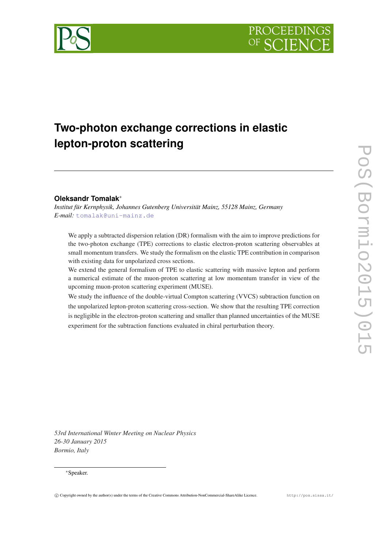



# **Two-photon exchange corrections in elastic lepton-proton scattering**

# **Oleksandr Tomalak**∗

*Institut für Kernphysik, Johannes Gutenberg Universität Mainz, 55128 Mainz, Germany E-mail:* [tomalak@uni-mainz.de](mailto:tomalak@uni-mainz.de)

We apply a subtracted dispersion relation (DR) formalism with the aim to improve predictions for the two-photon exchange (TPE) corrections to elastic electron-proton scattering observables at small momentum transfers. We study the formalism on the elastic TPE contribution in comparison with existing data for unpolarized cross sections.

We extend the general formalism of TPE to elastic scattering with massive lepton and perform a numerical estimate of the muon-proton scattering at low momentum transfer in view of the upcoming muon-proton scattering experiment (MUSE).

We study the influence of the double-virtual Compton scattering (VVCS) subtraction function on the unpolarized lepton-proton scattering cross-section. We show that the resulting TPE correction is negligible in the electron-proton scattering and smaller than planned uncertainties of the MUSE experiment for the subtraction functions evaluated in chiral perturbation theory.

*53rd International Winter Meeting on Nuclear Physics 26-30 January 2015 Bormio, Italy*

#### ∗Speaker.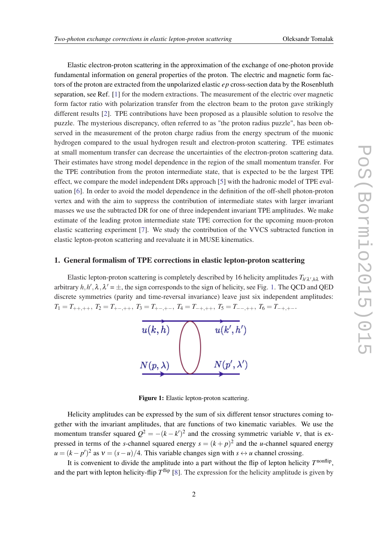Elastic electron-proton scattering in the approximation of the exchange of one-photon provide fundamental information on general properties of the proton. The electric and magnetic form factors of the proton are extracted from the unpolarized elastic *ep* cross-section data by the Rosenbluth separation, see Ref. [\[1\]](#page-7-0) for the modern extractions. The measurement of the electric over magnetic form factor ratio with polarization transfer from the electron beam to the proton gave strikingly different results [\[2\]](#page-7-0). TPE contributions have been proposed as a plausible solution to resolve the puzzle. The mysterious discrepancy, often referred to as "the proton radius puzzle", has been observed in the measurement of the proton charge radius from the energy spectrum of the muonic hydrogen compared to the usual hydrogen result and electron-proton scattering. TPE estimates at small momentum transfer can decrease the uncertainties of the electron-proton scattering data. Their estimates have strong model dependence in the region of the small momentum transfer. For the TPE contribution from the proton intermediate state, that is expected to be the largest TPE effect, we compare the model independent DRs approach [[5](#page-8-0)] with the hadronic model of TPE evaluation [\[6\]](#page-8-0). In order to avoid the model dependence in the definition of the off-shell photon-proton vertex and with the aim to suppress the contribution of intermediate states with larger invariant masses we use the subtracted DR for one of three independent invariant TPE amplitudes. We make estimate of the leading proton intermediate state TPE correction for the upcoming muon-proton elastic scattering experiment [[7](#page-8-0)]. We study the contribution of the VVCS subtracted function in elastic lepton-proton scattering and reevaluate it in MUSE kinematics.

## 1. General formalism of TPE corrections in elastic lepton-proton scattering

Elastic lepton-proton scattering is completely described by 16 helicity amplitudes  $T_{h'\lambda',h\lambda}$  with arbitrary  $h, h', \lambda, \lambda' = \pm$ , the sign corresponds to the sign of helicity, see Fig. 1. The QCD and QED discrete symmetries (parity and time-reversal invariance) leave just six independent amplitudes:  $T_1 = T_{++,++}, T_2 = T_{+-,++}, T_3 = T_{+-,+-}, T_4 = T_{-+,++}, T_5 = T_{--,++}, T_6 = T_{-+,+-}.$ 



Figure 1: Elastic lepton-proton scattering.

Helicity amplitudes can be expressed by the sum of six different tensor structures coming together with the invariant amplitudes, that are functions of two kinematic variables. We use the momentum transfer squared  $Q^2 = -(k - k')^2$  and the crossing symmetric variable v, that is expressed in terms of the *s*-channel squared energy  $s = (k+p)^2$  and the *u*-channel squared energy  $u = (k - p')^2$  as  $v = (s - u)/4$ . This variable changes sign with  $s \leftrightarrow u$  channel crossing.

It is convenient to divide the amplitude into a part without the flip of lepton helicity  $T^{\text{nonflip}}$ , and the part with lepton helicity-flip  $T^{\text{flip}}$  [[8](#page-8-0)]. The expression for the helicity amplitude is given by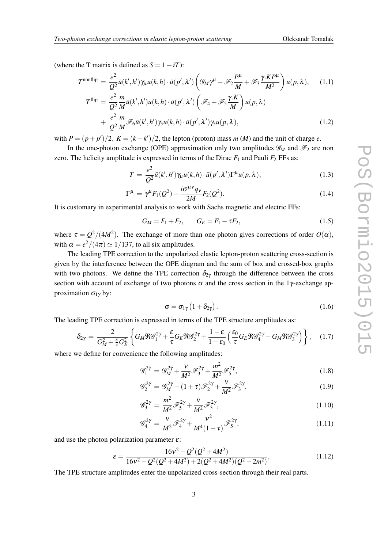(where the T matrix is defined as  $S = 1 + iT$ ):

$$
T^{\text{nonflip}} = \frac{e^2}{Q^2} \bar{u}(k', h') \gamma_{\mu} u(k, h) \cdot \bar{u}(p', \lambda') \left( \mathcal{G}_M \gamma^{\mu} - \mathcal{F}_2 \frac{P^{\mu}}{M} + \mathcal{F}_3 \frac{\gamma \cdot K P^{\mu}}{M^2} \right) u(p, \lambda), \quad (1.1)
$$
  
\n
$$
T^{\text{flip}} = \frac{e^2}{Q^2} \frac{m}{M} \bar{u}(k', h') u(k, h) \cdot \bar{u}(p', \lambda') \left( \mathcal{F}_4 + \mathcal{F}_5 \frac{\gamma \cdot K}{M} \right) u(p, \lambda)
$$
  
\n
$$
+ \frac{e^2}{Q^2} \frac{m}{M} \mathcal{F}_6 \bar{u}(k', h') \gamma_5 u(k, h) \cdot \bar{u}(p', \lambda') \gamma_5 u(p, \lambda), \quad (1.2)
$$

with  $P = (p + p')/2$ ,  $K = (k + k')/2$ , the lepton (proton) mass *m* (*M*) and the unit of charge *e*.

In the one-photon exchange (OPE) approximation only two amplitudes  $\mathscr{G}_M$  and  $\mathscr{F}_2$  are non zero. The helicity amplitude is expressed in terms of the Dirac  $F_1$  and Pauli  $F_2$  FFs as:

$$
T = \frac{e^2}{Q^2} \bar{u}(k',h') \gamma_\mu u(k,h) \cdot \bar{u}(p',\lambda') \Gamma^\mu u(p,\lambda), \qquad (1.3)
$$

$$
\Gamma^{\mu} = \gamma^{\mu} F_1(Q^2) + \frac{i\sigma^{\mu\nu} q_{\nu}}{2M} F_2(Q^2).
$$
 (1.4)

It is customary in experimental analysis to work with Sachs magnetic and electric FFs:

$$
G_M = F_1 + F_2, \qquad G_E = F_1 - \tau F_2,\tag{1.5}
$$

where  $\tau = Q^2/(4M^2)$ . The exchange of more than one photon gives corrections of order  $O(\alpha)$ , with  $\alpha = e^2/(4\pi) \simeq 1/137$ , to all six amplitudes.

The leading TPE correction to the unpolarized elastic lepton-proton scattering cross-section is given by the interference between the OPE diagram and the sum of box and crossed-box graphs with two photons. We define the TPE correction  $\delta_{2\gamma}$  through the difference between the cross section with account of exchange of two photons  $\sigma$  and the cross section in the 1 $\gamma$ -exchange approximation  $\sigma_{1\gamma}$  by:

$$
\sigma = \sigma_{1\gamma} (1 + \delta_{2\gamma}). \tag{1.6}
$$

The leading TPE correction is expressed in terms of the TPE structure amplitudes as:

$$
\delta_{2\gamma} = \frac{2}{G_M^2 + \frac{\epsilon}{\tau} G_E^2} \left\{ G_M \mathfrak{R} \mathcal{G}_1^{2\gamma} + \frac{\epsilon}{\tau} G_E \mathfrak{R} \mathcal{G}_2^{2\gamma} + \frac{1 - \epsilon}{1 - \epsilon_0} \left( \frac{\epsilon_0}{\tau} G_E \mathfrak{R} \mathcal{G}_4^{2\gamma} - G_M \mathfrak{R} \mathcal{G}_3^{2\gamma} \right) \right\}, \quad (1.7)
$$

where we define for convenience the following amplitudes:

$$
\mathcal{G}_1^{2\gamma} = \mathcal{G}_M^{2\gamma} + \frac{v}{M^2} \mathcal{F}_3^{2\gamma} + \frac{m^2}{M^2} \mathcal{F}_5^{2\gamma},\tag{1.8}
$$

$$
\mathcal{G}_2^{2\gamma} = \mathcal{G}_M^{2\gamma} - (1+\tau)\mathcal{F}_2^{2\gamma} + \frac{v}{M^2}\mathcal{F}_3^{2\gamma},\tag{1.9}
$$

$$
\mathcal{G}_3^{2\gamma} = \frac{m^2}{M^2} \mathcal{F}_5^{2\gamma} + \frac{v}{M^2} \mathcal{F}_3^{2\gamma},\tag{1.10}
$$

$$
\mathcal{G}_4^{2\gamma} = \frac{v}{M^2} \mathcal{F}_4^{2\gamma} + \frac{v^2}{M^4 (1+\tau)} \mathcal{F}_5^{2\gamma},\tag{1.11}
$$

and use the photon polarization parameter  $\varepsilon$ :

$$
\varepsilon = \frac{16v^2 - Q^2(Q^2 + 4M^2)}{16v^2 - Q^2(Q^2 + 4M^2) + 2(Q^2 + 4M^2)(Q^2 - 2m^2)},
$$
\n(1.12)

The TPE structure amplitudes enter the unpolarized cross-section through their real parts.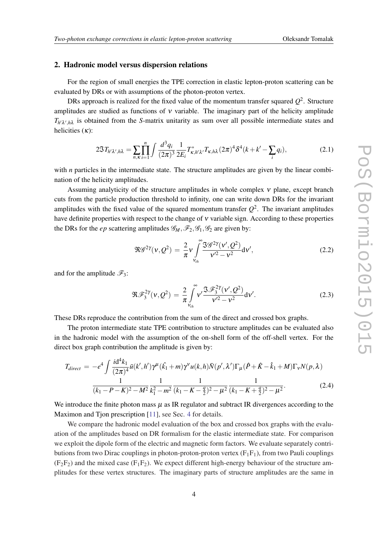#### 2. Hadronic model versus dispersion relations

For the region of small energies the TPE correction in elastic lepton-proton scattering can be evaluated by DRs or with assumptions of the photon-proton vertex.

DRs approach is realized for the fixed value of the momentum transfer squared  $Q^2$ . Structure amplitudes are studied as functions of ν variable. The imaginary part of the helicity amplitude  $T_{h'\lambda',h\lambda}$  is obtained from the *S*-matrix unitarity as sum over all possible intermediate states and helicities  $(\kappa)$ :

$$
2\Im T_{h'\lambda',h\lambda} = \sum_{n,\kappa} \prod_{i=1}^n \int \frac{d^3 q_i}{(2\pi)^3} \frac{1}{2E_i} T^*_{\kappa,h'\lambda'} T_{\kappa,h\lambda} (2\pi)^4 \delta^4(k+k'-\sum_i q_i), \tag{2.1}
$$

with *n* particles in the intermediate state. The structure amplitudes are given by the linear combination of the helicity amplitudes.

Assuming analyticity of the structure amplitudes in whole complex  $\nu$  plane, except branch cuts from the particle production threshold to infinity, one can write down DRs for the invariant amplitudes with the fixed value of the squared momentum transfer  $Q^2$ . The invariant amplitudes have definite properties with respect to the change of ν variable sign. According to these properties the DRs for the *ep* scattering amplitudes  $\mathcal{G}_M$ ,  $\mathcal{F}_2$ ,  $\mathcal{G}_1$ ,  $\mathcal{G}_2$  are given by:

$$
\Re \mathcal{G}^{2\gamma}(\nu, \mathcal{Q}^2) = \frac{2}{\pi} \nu \int_{\nu_{th}}^{\infty} \frac{\Im \mathcal{G}^{2\gamma}(\nu', \mathcal{Q}^2)}{\nu'^2 - \nu^2} d\nu', \tag{2.2}
$$

and for the amplitude  $\mathscr{F}_3$ :

$$
\Re \mathscr{F}_{3}^{2\gamma}(\nu, Q^{2}) = \frac{2}{\pi} \int_{\nu_{th}}^{\infty} \nu' \frac{\Im \mathscr{F}_{3}^{2\gamma}(\nu', Q^{2})}{\nu'^{2} - \nu^{2}} d\nu'.
$$
 (2.3)

These DRs reproduce the contribution from the sum of the direct and crossed box graphs.

The proton intermediate state TPE contribution to structure amplitudes can be evaluated also in the hadronic model with the assumption of the on-shell form of the off-shell vertex. For the direct box graph contribution the amplitude is given by:

$$
T_{direct} = -e^4 \int \frac{i\mathrm{d}^4 k_1}{(2\pi)^4} \bar{u}(k',h') \gamma^\mu(\hat{k_1}+m) \gamma^\nu u(k,h) \bar{N}(p',\lambda') \Gamma_\mu(\hat{P}+\hat{K}-\hat{k}_1+M) \Gamma_\nu N(p,\lambda)
$$
  

$$
\frac{1}{(k_1 - P - K)^2 - M^2} \frac{1}{k_1^2 - m^2} \frac{1}{(k_1 - K - \frac{q}{2})^2 - \mu^2} \frac{1}{(k_1 - K + \frac{q}{2})^2 - \mu^2}.
$$
 (2.4)

We introduce the finite photon mass  $\mu$  as IR regulator and subtract IR divergences according to the Maximon and Tjon prescription [[11\]](#page-8-0), see Sec. [4](#page-5-0) for details.

We compare the hadronic model evaluation of the box and crossed box graphs with the evaluation of the amplitudes based on DR formalism for the elastic intermediate state. For comparison we exploit the dipole form of the electric and magnetic form factors. We evaluate separately contributions from two Dirac couplings in photon-proton-proton vertex  $(F_1F_1)$ , from two Pauli couplings  $(F_2F_2)$  and the mixed case  $(F_1F_2)$ . We expect different high-energy behaviour of the structure amplitudes for these vertex structures. The imaginary parts of structure amplitudes are the same in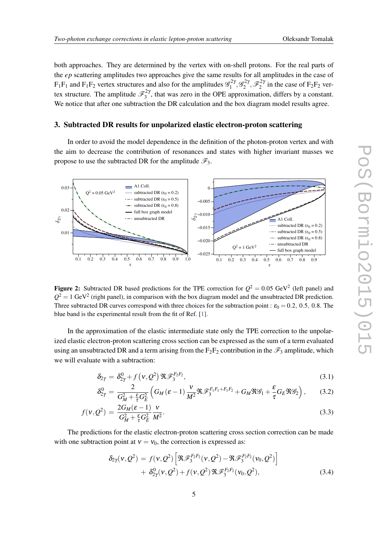<span id="page-4-0"></span>both approaches. They are determined by the vertex with on-shell protons. For the real parts of the *ep* scattering amplitudes two approaches give the same results for all amplitudes in the case of  $F_1F_1$  and  $F_1F_2$  vertex structures and also for the amplitudes  $\mathscr{G}_1^2$  $\frac{1}{2}$ <sup>2</sup> $\frac{1}{2}$  $\mathscr{F}_2^{2\gamma}, \mathscr{F}_2^{2\gamma}$  $2^{27}$  in the case of  $F_2F_2$  vertex structure. The amplitude  $\mathscr{F}_3^2$  $3^{27}$ , that was zero in the OPE approximation, differs by a constant. We notice that after one subtraction the DR calculation and the box diagram model results agree.

### 3. Subtracted DR results for unpolarized elastic electron-proton scattering

In order to avoid the model dependence in the definition of the photon-proton vertex and with the aim to decrease the contribution of resonances and states with higher invariant masses we propose to use the subtracted DR for the amplitude  $\mathscr{F}_3$ .



Figure 2: Subtracted DR based predictions for the TPE correction for  $Q^2 = 0.05$  GeV<sup>2</sup> (left panel) and  $Q^2 = 1$  GeV<sup>2</sup> (right panel), in comparison with the box diagram model and the unsubtracted DR prediction. Three subtracted DR curves correspond with three choices for the subtraction point :  $\varepsilon_0 = 0.2$ , 0.5, 0.8. The blue band is the experimental result from the fit of Ref. [\[1](#page-7-0)].

In the approximation of the elastic intermediate state only the TPE correction to the unpolarized elastic electron-proton scattering cross section can be expressed as the sum of a term evaluated using an unsubtracted DR and a term arising from the  $F_2F_2$  contribution in the  $\mathscr{F}_3$  amplitude, which we will evaluate with a subtraction:

$$
\delta_{2\gamma} = \delta_{2\gamma}^{0} + f\left(v, Q^{2}\right) \Re \mathcal{F}_{3}^{F_{2}F_{2}},\tag{3.1}
$$

$$
\delta_{2\gamma}^{0} = \frac{2}{G_{M}^{2} + \frac{\varepsilon}{\tau}G_{E}^{2}} \left( G_{M}(\varepsilon - 1) \frac{\nu}{M^{2}} \Re \mathcal{F}_{3}^{F_{1}F_{1} + F_{1}F_{2}} + G_{M} \Re \mathcal{G}_{1} + \frac{\varepsilon}{\tau}G_{E} \Re \mathcal{G}_{2} \right), \quad (3.2)
$$

$$
f(\mathbf{v}, Q^2) = \frac{2G_M(\varepsilon - 1)}{G_M^2 + \frac{\varepsilon}{\tau} G_E^2} \frac{\mathbf{v}}{M^2}.
$$
\n
$$
(3.3)
$$

The predictions for the elastic electron-proton scattering cross section correction can be made with one subtraction point at  $v = v_0$ , the correction is expressed as:

$$
\delta_{2\gamma}(\mathbf{v}, Q^2) = f(\mathbf{v}, Q^2) \left[ \mathfrak{R} \mathcal{F}_3^{F_2 F_2}(\mathbf{v}, Q^2) - \mathfrak{R} \mathcal{F}_3^{F_2 F_2}(\mathbf{v}_0, Q^2) \right] + \delta_{2\gamma}^0(\mathbf{v}, Q^2) + f(\mathbf{v}, Q^2) \mathfrak{R} \mathcal{F}_3^{F_2 F_2}(\mathbf{v}_0, Q^2),
$$
(3.4)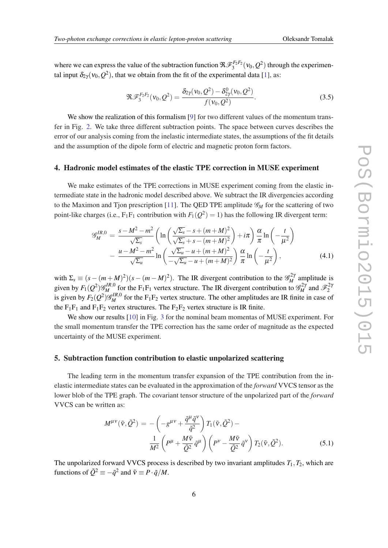<span id="page-5-0"></span>where we can express the value of the subtraction function  $\Re\mathcal{F}_3^{F_2F_2}(v_0, Q^2)$  through the experimental input  $\delta_{2\gamma}(v_0, Q^2)$ , that we obtain from the fit of the experimental data [[1](#page-7-0)], as:

$$
\Re \mathcal{F}_3^{F_2F_2}(v_0, Q^2) = \frac{\delta_{2\gamma}(v_0, Q^2) - \delta_{2\gamma}^0(v_0, Q^2)}{f(v_0, Q^2)}.
$$
\n(3.5)

We show the realization of this formalism [\[9\]](#page-8-0) for two different values of the momentum transfer in Fig. [2](#page-4-0). We take three different subtraction points. The space between curves describes the error of our analysis coming from the inelastic intermediate states, the assumptions of the fit details and the assumption of the dipole form of electric and magnetic proton form factors.

### 4. Hadronic model estimates of the elastic TPE correction in MUSE experiment

We make estimates of the TPE corrections in MUSE experiment coming from the elastic intermediate state in the hadronic model described above. We subtract the IR divergencies according to the Maximon and Tjon prescription [\[11](#page-8-0)]. The QED TPE amplitude  $\mathscr{G}_M$  for the scattering of two point-like charges (i.e.,  $F_1F_1$  contribution with  $F_1(Q^2) = 1$ ) has the following IR divergent term:

$$
\mathcal{G}_{M}^{IR,0} = \frac{s - M^2 - m^2}{\sqrt{\Sigma_s}} \left( \ln \left( \frac{\sqrt{\Sigma_s} - s + (m + M)^2}{\sqrt{\Sigma_s} + s - (m + M)^2} \right) + i\pi \right) \frac{\alpha}{\pi} \ln \left( -\frac{t}{\mu^2} \right)
$$

$$
- \frac{u - M^2 - m^2}{\sqrt{\Sigma_u}} \ln \left( \frac{\sqrt{\Sigma_u} - u + (m + M)^2}{-\sqrt{\Sigma_u} - u + (m + M)^2} \right) \frac{\alpha}{\pi} \ln \left( -\frac{t}{\mu^2} \right), \tag{4.1}
$$

with  $\Sigma_s \equiv (s - (m + M)^2)(s - (m - M)^2)$ . The IR divergent contribution to the  $\mathscr{G}_M^{2\gamma}$  amplitude is given by  $F_1(Q^2)\mathscr{G}_M^{IR,0}$  for the F<sub>1</sub>F<sub>1</sub> vertex structure. The IR divergent contribution to  $\mathscr{G}_M^{2\gamma}$  and  $\mathscr{F}_2^{2\gamma}$ 2 is given by  $F_2(Q^2)\mathscr{G}_M^{IR,0}$  for the F<sub>1</sub>F<sub>2</sub> vertex structure. The other amplitudes are IR finite in case of the  $F_1F_1$  and  $F_1F_2$  vertex structures. The  $F_2F_2$  vertex structure is IR finite.

We show our results [[10\]](#page-8-0) in Fig. [3](#page-6-0) for the nominal beam momentas of MUSE experiment. For the small momentum transfer the TPE correction has the same order of magnitude as the expected uncertainty of the MUSE experiment.

#### 5. Subtraction function contribution to elastic unpolarized scattering

The leading term in the momentum transfer expansion of the TPE contribution from the inelastic intermediate states can be evaluated in the approximation of the *forward* VVCS tensor as the lower blob of the TPE graph. The covariant tensor structure of the unpolarized part of the *forward* VVCS can be written as:

$$
M^{\mu\nu}(\tilde{v}, \tilde{Q}^2) = -\left(-g^{\mu\nu} + \frac{\tilde{q}^{\mu}\tilde{q}^{\nu}}{\tilde{q}^2}\right)T_1(\tilde{v}, \tilde{Q}^2) - \frac{1}{M^2}\left(p^{\mu} + \frac{M\tilde{v}}{\tilde{Q}^2}\tilde{q}^{\mu}\right)\left(p^{\nu} - \frac{M\tilde{v}}{\tilde{Q}^2}\tilde{q}^{\nu}\right)T_2(\tilde{v}, \tilde{Q}^2).
$$
 (5.1)

The unpolarized forward VVCS process is described by two invariant amplitudes  $T_1, T_2$ , which are functions of  $\tilde{Q}^2 \equiv -\tilde{q}^2$  and  $\tilde{v} \equiv P \cdot \tilde{q} / M$ .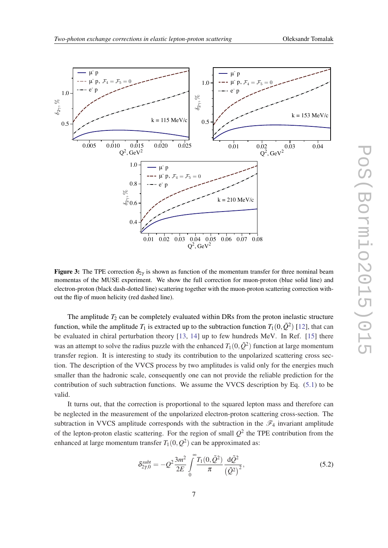<span id="page-6-0"></span>

**Figure 3:** The TPE correction  $\delta_{2\gamma}$  is shown as function of the momentum transfer for three nominal beam momentas of the MUSE experiment. We show the full correction for muon-proton (blue solid line) and electron-proton (black dash-dotted line) scattering together with the muon-proton scattering correction without the flip of muon helicity (red dashed line).

The amplitude  $T_2$  can be completely evaluated within DRs from the proton inelastic structure function, while the amplitude  $T_1$  is extracted up to the subtraction function  $T_1(0,\tilde{Q}^2)$  [[12\]](#page-8-0), that can be evaluated in chiral perturbation theory [[13,](#page-8-0) [14\]](#page-8-0) up to few hundreds MeV. In Ref. [[15\]](#page-8-0) there was an attempt to solve the radius puzzle with the enhanced  $T_1(0,\tilde{Q}^2)$  function at large momentum transfer region. It is interesting to study its contribution to the unpolarized scattering cross section. The description of the VVCS process by two amplitudes is valid only for the energies much smaller than the hadronic scale, consequently one can not provide the reliable prediction for the contribution of such subtraction functions. We assume the VVCS description by Eq. [\(5.1\)](#page-5-0) to be valid.

It turns out, that the correction is proportional to the squared lepton mass and therefore can be neglected in the measurement of the unpolarized electron-proton scattering cross-section. The subtraction in VVCS amplitude corresponds with the subtraction in the  $\mathscr{F}_4$  invariant amplitude of the lepton-proton elastic scattering. For the region of small  $Q^2$  the TPE contribution from the enhanced at large momentum transfer  $T_1(0, Q^2)$  can be approximated as:

$$
\delta_{2\gamma,0}^{subt} = -Q^2 \frac{3m^2}{2E} \int_0^\infty \frac{T_1(0,\tilde{Q}^2)}{\pi} \frac{d\tilde{Q}^2}{(\tilde{Q}^2)^2},\tag{5.2}
$$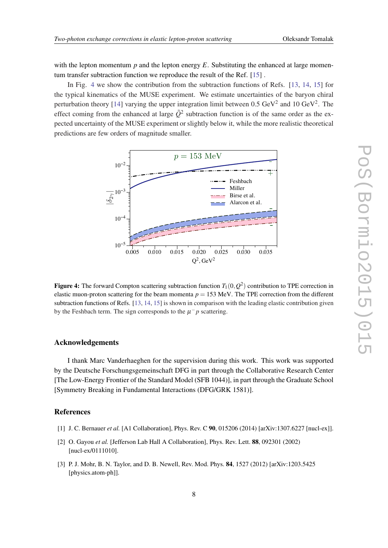<span id="page-7-0"></span>with the lepton momentum  $p$  and the lepton energy  $E$ . Substituting the enhanced at large momentum transfer subtraction function we reproduce the result of the Ref. [[15](#page-8-0)] .

In Fig. 4 we show the contribution from the subtraction functions of Refs. [[13,](#page-8-0) [14,](#page-8-0) [15](#page-8-0)] for the typical kinematics of the MUSE experiment. We estimate uncertainties of the baryon chiral perturbation theory [\[14](#page-8-0)] varying the upper integration limit between 0.5  $\text{GeV}^2$  and 10  $\text{GeV}^2$ . The effect coming from the enhanced at large  $\tilde{Q}^2$  subtraction function is of the same order as the expected uncertainty of the MUSE experiment or slightly below it, while the more realistic theoretical predictions are few orders of magnitude smaller.



Figure 4: The forward Compton scattering subtraction function  $T_1(0, Q^2)$  contribution to TPE correction in elastic muon-proton scattering for the beam momenta  $p = 153$  MeV. The TPE correction from the different subtraction functions of Refs. [\[13](#page-8-0), [14](#page-8-0), [15\]](#page-8-0) is shown in comparison with the leading elastic contribution given by the Feshbach term. The sign corresponds to the  $\mu^- p$  scattering.

#### Acknowledgements

I thank Marc Vanderhaeghen for the supervision during this work. This work was supported by the Deutsche Forschungsgemeinschaft DFG in part through the Collaborative Research Center [The Low-Energy Frontier of the Standard Model (SFB 1044)], in part through the Graduate School [Symmetry Breaking in Fundamental Interactions (DFG/GRK 1581)].

# References

- [1] J. C. Bernauer *et al.* [A1 Collaboration], Phys. Rev. C **90**, 015206 (2014) [arXiv:1307.6227 [nucl-ex]].
- [2] O. Gayou *et al.* [Jefferson Lab Hall A Collaboration], Phys. Rev. Lett. 88, 092301 (2002) [nucl-ex/0111010].
- [3] P. J. Mohr, B. N. Taylor, and D. B. Newell, Rev. Mod. Phys. 84, 1527 (2012) [arXiv:1203.5425 [physics.atom-ph]].